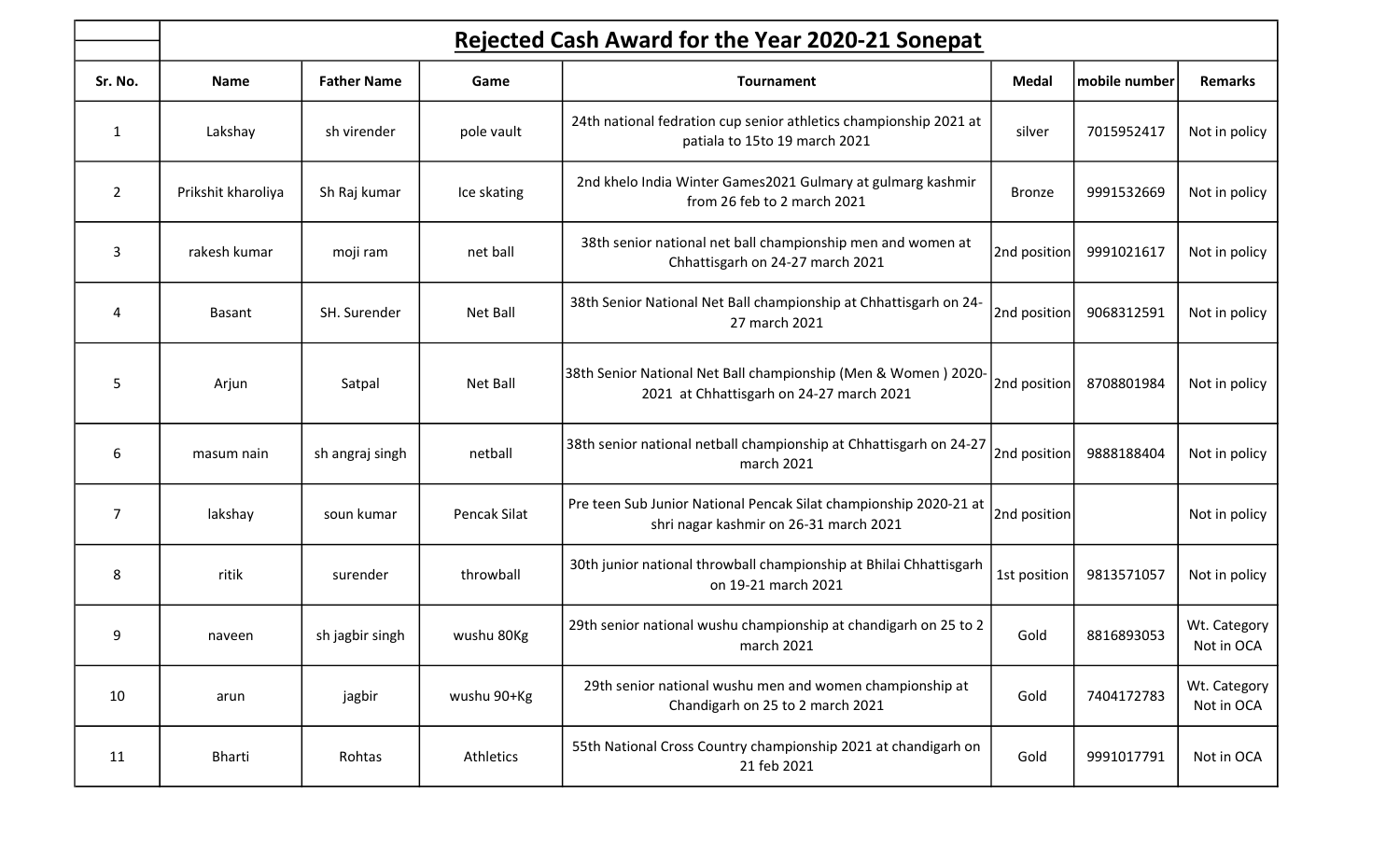|                | Rejected Cash Award for the Year 2020-21 Sonepat |                    |              |                                                                                                             |               |               |                            |  |  |  |  |
|----------------|--------------------------------------------------|--------------------|--------------|-------------------------------------------------------------------------------------------------------------|---------------|---------------|----------------------------|--|--|--|--|
| Sr. No.        | <b>Name</b>                                      | <b>Father Name</b> | Game         | <b>Tournament</b>                                                                                           | <b>Medal</b>  | mobile number | <b>Remarks</b>             |  |  |  |  |
| $\mathbf{1}$   | Lakshay                                          | sh virender        | pole vault   | 24th national fedration cup senior athletics championship 2021 at<br>patiala to 15to 19 march 2021          | silver        | 7015952417    | Not in policy              |  |  |  |  |
| $\overline{2}$ | Prikshit kharoliya                               | Sh Raj kumar       | Ice skating  | 2nd khelo India Winter Games2021 Gulmary at gulmarg kashmir<br>from 26 feb to 2 march 2021                  | <b>Bronze</b> | 9991532669    | Not in policy              |  |  |  |  |
| 3              | rakesh kumar                                     | moji ram           | net ball     | 38th senior national net ball championship men and women at<br>Chhattisgarh on 24-27 march 2021             | 2nd position  | 9991021617    | Not in policy              |  |  |  |  |
| 4              | <b>Basant</b>                                    | SH. Surender       | Net Ball     | 38th Senior National Net Ball championship at Chhattisgarh on 24-<br>27 march 2021                          | 2nd position  | 9068312591    | Not in policy              |  |  |  |  |
| 5              | Arjun                                            | Satpal             | Net Ball     | 38th Senior National Net Ball championship (Men & Women) 2020-<br>2021 at Chhattisgarh on 24-27 march 2021  | 2nd position  | 8708801984    | Not in policy              |  |  |  |  |
| 6              | masum nain                                       | sh angraj singh    | netball      | 38th senior national netball championship at Chhattisgarh on 24-27<br>march 2021                            | 2nd position  | 9888188404    | Not in policy              |  |  |  |  |
| $\overline{7}$ | lakshay                                          | soun kumar         | Pencak Silat | Pre teen Sub Junior National Pencak Silat championship 2020-21 at<br>shri nagar kashmir on 26-31 march 2021 | 2nd position  |               | Not in policy              |  |  |  |  |
| 8              | ritik                                            | surender           | throwball    | 30th junior national throwball championship at Bhilai Chhattisgarh<br>on 19-21 march 2021                   | 1st position  | 9813571057    | Not in policy              |  |  |  |  |
| 9              | naveen                                           | sh jagbir singh    | wushu 80Kg   | 29th senior national wushu championship at chandigarh on 25 to 2<br>march 2021                              | Gold          | 8816893053    | Wt. Category<br>Not in OCA |  |  |  |  |
| 10             | arun                                             | jagbir             | wushu 90+Kg  | 29th senior national wushu men and women championship at<br>Chandigarh on 25 to 2 march 2021                | Gold          | 7404172783    | Wt. Category<br>Not in OCA |  |  |  |  |
| 11             | <b>Bharti</b>                                    | Rohtas             | Athletics    | 55th National Cross Country championship 2021 at chandigarh on<br>21 feb 2021                               | Gold          | 9991017791    | Not in OCA                 |  |  |  |  |